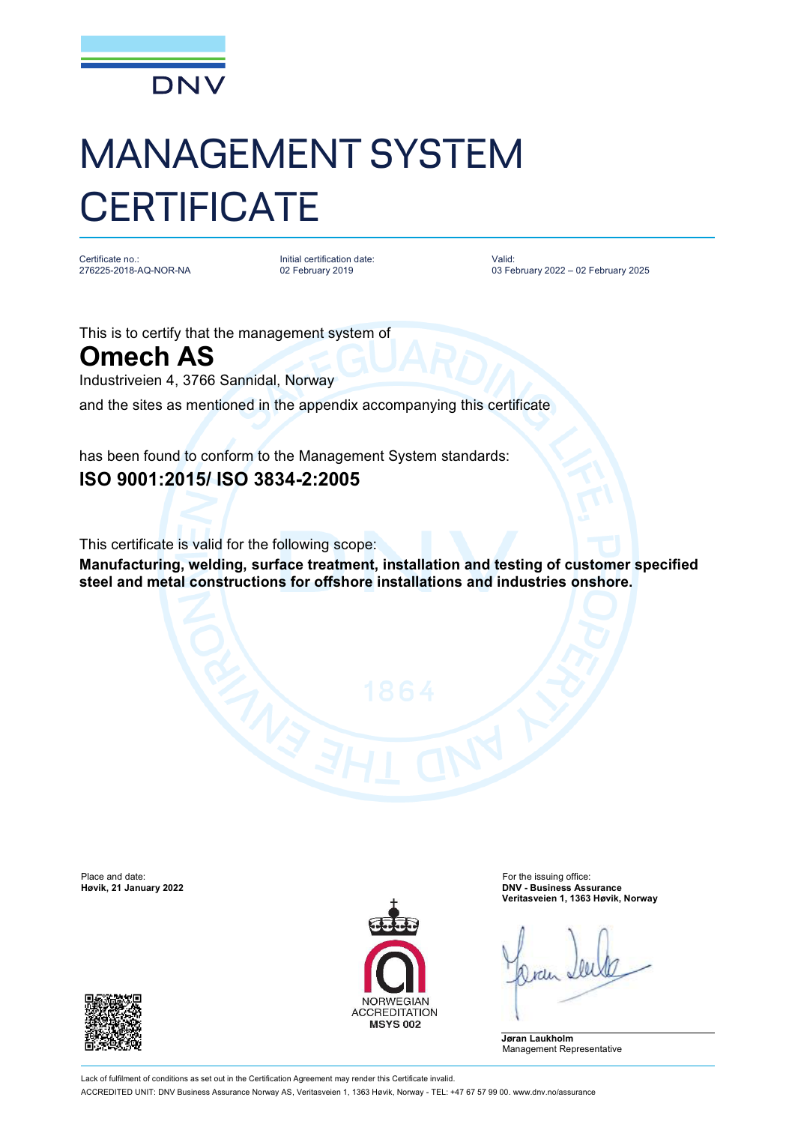

## MANAGEMENT SYSTEM **CERTIFICATE**

Certificate no.: 276225-2018-AQ-NOR-NA

Initial certification date: 02 February 2019

Valid: 03 February 2022 – 02 February 2025

This is to certify that the management system of

**Omech AS**

Industriveien 4, 3766 Sannidal, Norway

and the sites as mentioned in the appendix accompanying this certificate

has been found to conform to the Management System standards: **ISO 9001:2015/ ISO 3834-2:2005**

This certificate is valid for the following scope:

**Manufacturing, welding, surface treatment, installation and testing of customer specified steel and metal constructions for offshore installations and industries onshore.**

Place and date: For the issuing office:<br> **Place and date:** For the issuing office:<br> **Place and date:** For the issuing office: For the issuing office: For the issuing office:





**Høvik, 21 January 2022 DNV - Business Assurance Veritasveien 1, 1363 Høvik, Norway**

**Jøran Laukholm** Management Representative

Lack of fulfilment of conditions as set out in the Certification Agreement may render this Certificate invalid. ACCREDITED UNIT: DNV Business Assurance Norway AS, Veritasveien 1, 1363 Høvik, Norway - TEL: +47 67 57 99 00. [www.dnv.no/assurance](http://www.dnv.no/assurance)